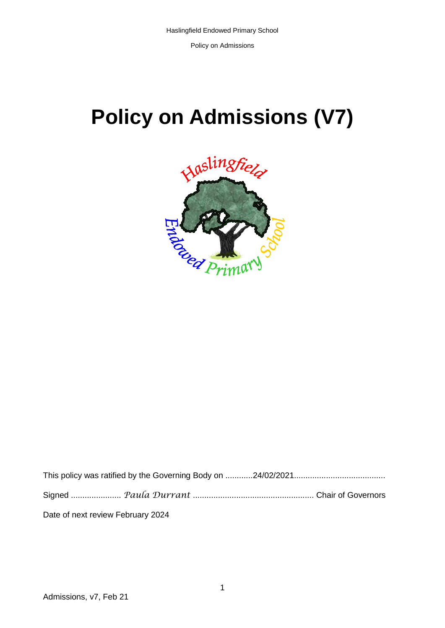Policy on Admissions

# **Policy on Admissions (V7)**



| Date of next review February 2024 |  |
|-----------------------------------|--|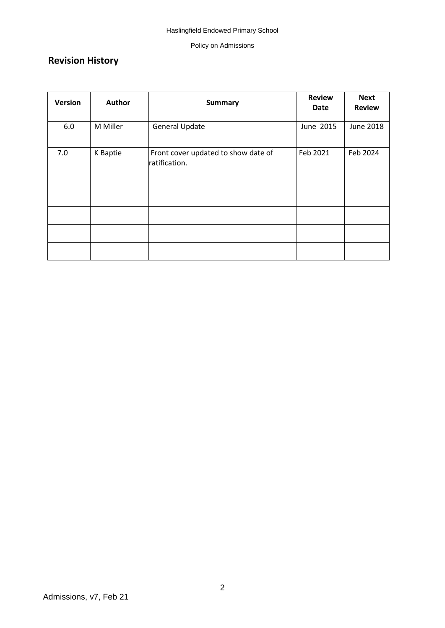#### Policy on Admissions

# **Revision History**

| <b>Version</b> | Author   | <b>Summary</b>                                       | <b>Review</b><br>Date | <b>Next</b><br><b>Review</b> |
|----------------|----------|------------------------------------------------------|-----------------------|------------------------------|
| 6.0            | M Miller | <b>General Update</b>                                | June 2015             | <b>June 2018</b>             |
| 7.0            | K Baptie | Front cover updated to show date of<br>ratification. | Feb 2021              | Feb 2024                     |
|                |          |                                                      |                       |                              |
|                |          |                                                      |                       |                              |
|                |          |                                                      |                       |                              |
|                |          |                                                      |                       |                              |
|                |          |                                                      |                       |                              |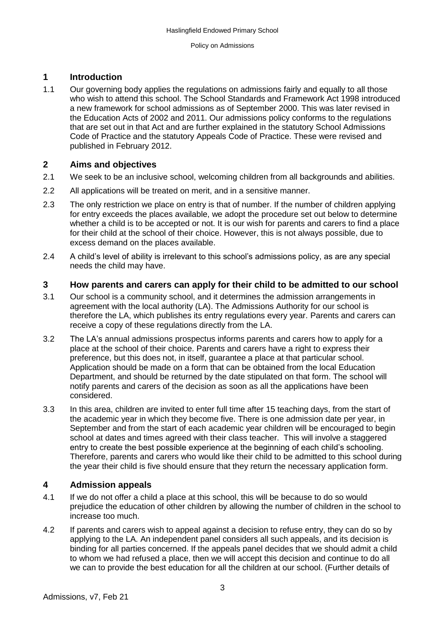## **1 Introduction**

1.1 Our governing body applies the regulations on admissions fairly and equally to all those who wish to attend this school. The School Standards and Framework Act 1998 introduced a new framework for school admissions as of September 2000. This was later revised in the Education Acts of 2002 and 2011. Our admissions policy conforms to the regulations that are set out in that Act and are further explained in the statutory School Admissions Code of Practice and the statutory Appeals Code of Practice. These were revised and published in February 2012.

### **2 Aims and objectives**

- 2.1 We seek to be an inclusive school, welcoming children from all backgrounds and abilities.
- 2.2 All applications will be treated on merit, and in a sensitive manner.
- 2.3 The only restriction we place on entry is that of number. If the number of children applying for entry exceeds the places available, we adopt the procedure set out below to determine whether a child is to be accepted or not. It is our wish for parents and carers to find a place for their child at the school of their choice. However, this is not always possible, due to excess demand on the places available.
- 2.4 A child's level of ability is irrelevant to this school's admissions policy, as are any special needs the child may have.

#### **3 How parents and carers can apply for their child to be admitted to our school**

- 3.1 Our school is a community school, and it determines the admission arrangements in agreement with the local authority (LA). The Admissions Authority for our school is therefore the LA, which publishes its entry regulations every year. Parents and carers can receive a copy of these regulations directly from the LA.
- 3.2 The LA's annual admissions prospectus informs parents and carers how to apply for a place at the school of their choice. Parents and carers have a right to express their preference, but this does not, in itself, guarantee a place at that particular school. Application should be made on a form that can be obtained from the local Education Department, and should be returned by the date stipulated on that form. The school will notify parents and carers of the decision as soon as all the applications have been considered.
- 3.3 In this area, children are invited to enter full time after 15 teaching days, from the start of the academic year in which they become five. There is one admission date per year, in September and from the start of each academic year children will be encouraged to begin school at dates and times agreed with their class teacher. This will involve a staggered entry to create the best possible experience at the beginning of each child's schooling. Therefore, parents and carers who would like their child to be admitted to this school during the year their child is five should ensure that they return the necessary application form.

### **4 Admission appeals**

- 4.1 If we do not offer a child a place at this school, this will be because to do so would prejudice the education of other children by allowing the number of children in the school to increase too much.
- 4.2 If parents and carers wish to appeal against a decision to refuse entry, they can do so by applying to the LA. An independent panel considers all such appeals, and its decision is binding for all parties concerned. If the appeals panel decides that we should admit a child to whom we had refused a place, then we will accept this decision and continue to do all we can to provide the best education for all the children at our school. (Further details of